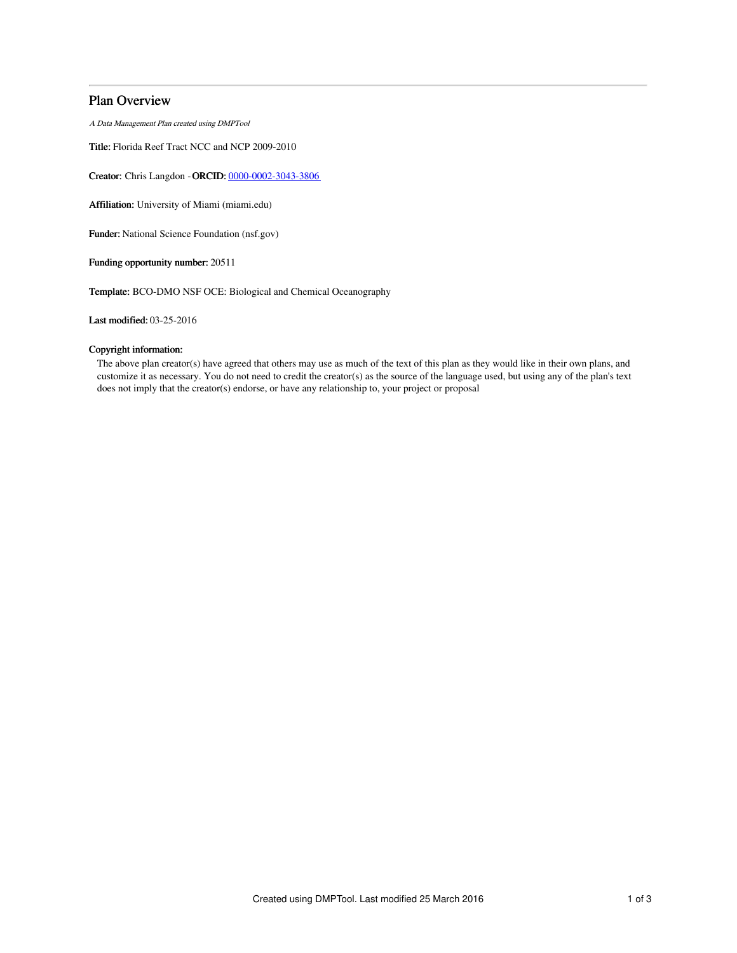# Plan Overview

A Data Management Plan created using DMPTool

Title: Florida Reef Tract NCC and NCP 2009-2010

Creator: Chris Langdon -ORCID: [0000-0002-3043-3806](https://orcid.org/0000-0002-3043-3806)

Affiliation: University of Miami (miami.edu)

Funder: National Science Foundation (nsf.gov)

Funding opportunity number: 20511

Template: BCO-DMO NSF OCE: Biological and Chemical Oceanography

Last modified: 03-25-2016

## Copyright information:

The above plan creator(s) have agreed that others may use as much of the text of this plan as they would like in their own plans, and customize it as necessary. You do not need to credit the creator(s) as the source of the language used, but using any of the plan's text does not imply that the creator(s) endorse, or have any relationship to, your project or proposal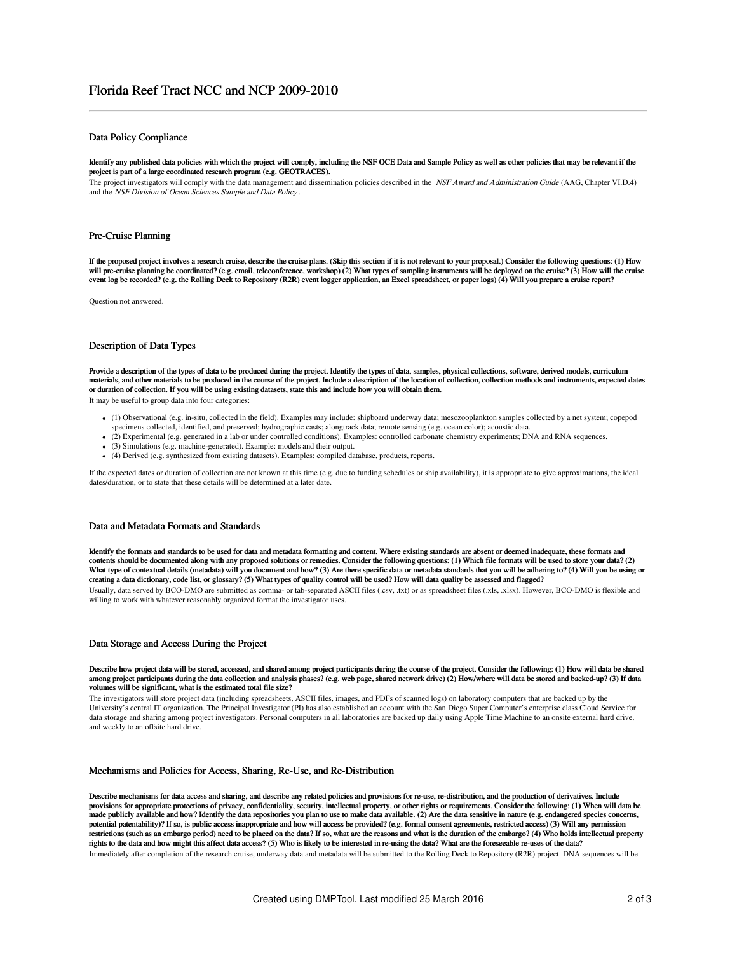## Data Policy Compliance

Identify any published data policies with which the project will comply, including the NSF OCE Data and Sample Policy as well as other policies that may be relevant if the project is part of a large coordinated research program (e.g. GEOTRACES).

The project investigators will comply with the data management and dissemination policies described in the NSF Award and Administration Guide (AAG, Chapter VI.D.4) and the NSF Division of Ocean Sciences Sample and Data Policy .

## Pre-Cruise Planning

If the proposed project involves a research cruise, describe the cruise plans. (Skip this section if it is not relevant to your proposal.) Consider the following questions: (1) How will pre-cruise planning be coordinated? (e.g. email, teleconference, workshop) (2) What types of sampling instruments will be deployed on the cruise? (3) How will the cruise event log be recorded? (e.g. the Rolling Deck to Repository (R2R) event logger application, an Excel spreadsheet, or paper logs) (4) Will you prepare a cruise report?

Question not answered.

## Description of Data Types

Provide a description of the types of data to be produced during the project. Identify the types of data, samples, physical collections, software, derived models, curriculum materials, and other materials to be produced in the course of the project. Include a description of the location of collection, collection methods and instruments, expected dates or duration of collection. If you will be using existing datasets, state this and include how you will obtain them.

It may be useful to group data into four categories:

- (1) Observational (e.g. in-situ, collected in the field). Examples may include: shipboard underway data; mesozooplankton samples collected by a net system; copepod specimens collected, identified, and preserved; hydrographic casts; alongtrack data; remote sensing (e.g. ocean color); acoustic data.
- (2) Experimental (e.g. generated in a lab or under controlled conditions). Examples: controlled carbonate chemistry experiments; DNA and RNA sequences.
- (3) Simulations (e.g. machine-generated). Example: models and their output.
- (4) Derived (e.g. synthesized from existing datasets). Examples: compiled database, products, reports.

If the expected dates or duration of collection are not known at this time (e.g. due to funding schedules or ship availability), it is appropriate to give approximations, the ideal dates/duration, or to state that these details will be determined at a later date

### Data and Metadata Formats and Standards

Identify the formats and standards to be used for data and metadata formatting and content. Where existing standards are absent or deemed inadequate, these formats and contents should be documented along with any proposed solutions or remedies. Consider the following questions: (1) Which file formats will be used to store your data? (2) What type of contextual details (metadata) will you document and how? (3) Are there specific data or metadata standards that you will be adhering to? (4) Will you be using or creating a data dictionary, code list, or glossary? (5) What types of quality control will be used? How will data quality be assessed and flagged?

Usually, data served by BCO-DMO are submitted as comma- or tab-separated ASCII files (.csv, .txt) or as spreadsheet files (.xls, .xlsx). However, BCO-DMO is flexible and willing to work with whatever reasonably organized format the investigator uses.

## Data Storage and Access During the Project

#### Describe how project data will be stored, accessed, and shared among project participants during the course of the project. Consider the following: (1) How will data be shared among project participants during the data collection and analysis phases? (e.g. web page, shared network drive) (2) How/where will data be stored and backed-up? (3) If data volumes will be significant, what is the estimated total file size?

The investigators will store project data (including spreadsheets, ASCII files, images, and PDFs of scanned logs) on laboratory computers that are backed up by the University's central IT organization. The Principal Investigator (PI) has also established an account with the San Diego Super Computer's enterprise class Cloud Service for data storage and sharing among project investigators. Personal computers in all laboratories are backed up daily using Apple Time Machine to an onsite external hard drive, and weekly to an offsite hard drive.

#### Mechanisms and Policies for Access, Sharing, Re-Use, and Re-Distribution

Describe mechanisms for data access and sharing, and describe any related policies and provisions for re-use, re-distribution, and the production of derivatives. Include provisions for appropriate protections of privacy, confidentiality, security, intellectual property, or other rights or requirements. Consider the following: (1) When will data be made publicly available and how? Identify the data repositories you plan to use to make data available. (2) Are the data sensitive in nature (e.g. endangered species concerns,<br>potential patentability)? If so, is public acc restrictions (such as an embargo period) need to be placed on the data? If so, what are the reasons and what is the duration of the embargo? (4) Who holds intellectual property rights to the data and how might this affect data access? (5) Who is likely to be interested in re-using the data? What are the foreseeable re-uses of the data? Immediately after completion of the research cruise, underway data and metadata will be submitted to the Rolling Deck to Repository (R2R) project. DNA sequences will be